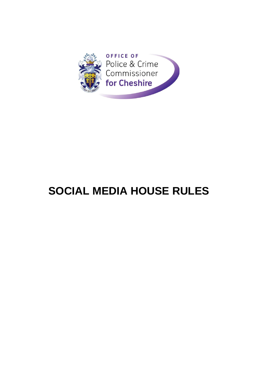

# **SOCIAL MEDIA HOUSE RULES**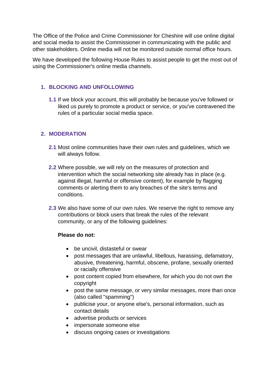The Office of the Police and Crime Commissioner for Cheshire will use online digital and social media to assist the Commissioner in communicating with the public and other stakeholders. Online media will not be monitored outside normal office hours.

We have developed the following House Rules to assist people to get the most out of using the Commissioner's online media channels.

#### **1. BLOCKING AND UNFOLLOWING**

**1.1** If we block your account, this will probably be because you've followed or liked us purely to promote a product or service, or you've contravened the rules of a particular social media space.

## **2. MODERATION**

- **2.1** Most online communities have their own rules and guidelines, which we will always follow.
- **2.2** Where possible, we will rely on the measures of protection and intervention which the social networking site already has in place (e.g. against illegal, harmful or offensive content), for example by flagging comments or alerting them to any breaches of the site's terms and conditions.
- **2.3** We also have some of our own rules. We reserve the right to remove any contributions or block users that break the rules of the relevant community, or any of the following guidelines:

#### **Please do not:**

- be uncivil, distasteful or swear
- post messages that are unlawful, libellous, harassing, defamatory, abusive, threatening, harmful, obscene, profane, sexually oriented or racially offensive
- post content copied from elsewhere, for which you do not own the copyright
- post the same message, or very similar messages, more than once (also called "spamming")
- publicise your, or anyone else's, personal information, such as contact details
- advertise products or services
- impersonate someone else
- discuss ongoing cases or investigations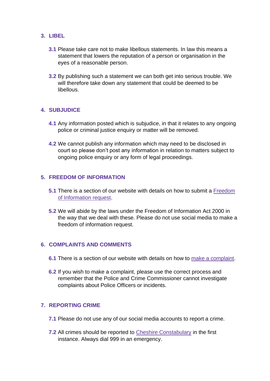## **3. LIBEL**

- **3.1** Please take care not to make libellous statements. In law this means a statement that lowers the reputation of a person or organisation in the eyes of a reasonable person.
- **3.2** By publishing such a statement we can both get into serious trouble. We will therefore take down any statement that could be deemed to be libellous.

## **4. SUBJUDICE**

- **4.1** Any information posted which is subjudice, in that it relates to any ongoing police or criminal justice enquiry or matter will be removed.
- **4.2** We cannot publish any information which may need to be disclosed in court so please don't post any information in relation to matters subject to ongoing police enquiry or any form of legal proceedings.

#### **5. FREEDOM OF INFORMATION**

- **5.1** There is a section of our website with details on how to submit a [Freedom](https://www.cheshire-pcc.gov.uk/contact/freedom-of-information-and-subject-access-requests/)  [of Information request.](https://www.cheshire-pcc.gov.uk/contact/freedom-of-information-and-subject-access-requests/)
- **5.2** We will abide by the laws under the Freedom of Information Act 2000 in the way that we deal with these. Please do not use social media to make a freedom of information request.

## **6. COMPLAINTS AND COMMENTS**

- **6.1** There is a section of our website with details on how to [make a complaint.](https://www.cheshire-pcc.gov.uk/contact/compliments-and-complaints/)
- **6.2** If you wish to make a complaint, please use the correct process and remember that the Police and Crime Commissioner cannot investigate complaints about Police Officers or incidents.

## **7. REPORTING CRIME**

- **7.1** Please do not use any of our social media accounts to report a crime.
- **7.2** All crimes should be reported to [Cheshire Constabulary](https://www.cheshire.police.uk/ro/report/ocr/af/how-to-report-a-crime/) in the first instance. Always dial 999 in an emergency.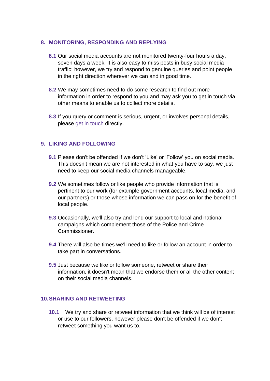#### **8. MONITORING, RESPONDING AND REPLYING**

- **8.1** Our social media accounts are not monitored twenty-four hours a day, seven days a week. It is also easy to miss posts in busy social media traffic; however, we try and respond to genuine queries and point people in the right direction wherever we can and in good time.
- **8.2** We may sometimes need to do some research to find out more information in order to respond to you and may ask you to get in touch via other means to enable us to collect more details.
- **8.3** If you query or comment is serious, urgent, or involves personal details, please [get in touch](https://www.cheshire-pcc.gov.uk/contact/get-in-touch/) directly.

#### **9. LIKING AND FOLLOWING**

- **9.1** Please don't be offended if we don't 'Like' or 'Follow' you on social media. This doesn't mean we are not interested in what you have to say, we just need to keep our social media channels manageable.
- **9.2** We sometimes follow or like people who provide information that is pertinent to our work (for example government accounts, local media, and our partners) or those whose information we can pass on for the benefit of local people.
- **9.3** Occasionally, we'll also try and lend our support to local and national campaigns which complement those of the Police and Crime Commissioner.
- **9.4** There will also be times we'll need to like or follow an account in order to take part in conversations.
- **9.5** Just because we like or follow someone, retweet or share their information, it doesn't mean that we endorse them or all the other content on their social media channels.

#### **10.SHARING AND RETWEETING**

**10.1** We try and share or retweet information that we think will be of interest or use to our followers, however please don't be offended if we don't retweet something you want us to.